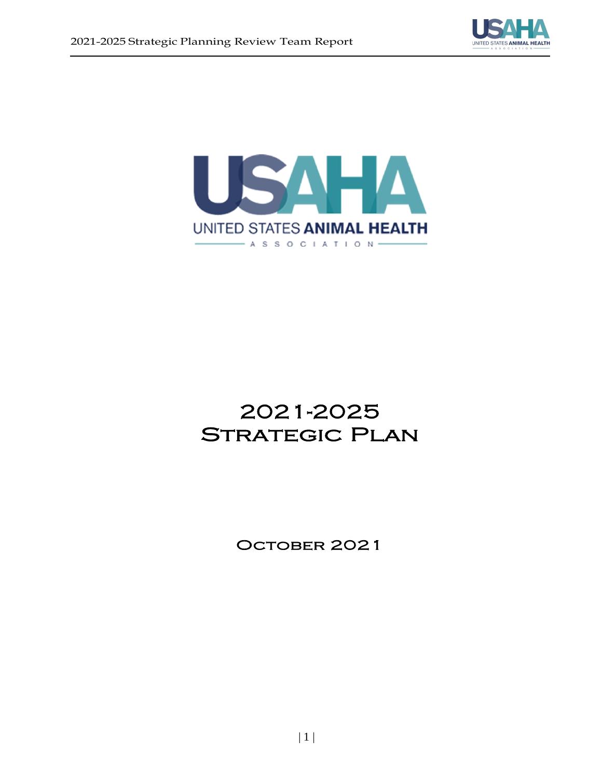



# 2021-2025 Strategic Plan  $\overline{\phantom{a}}$

OCTOBER 2021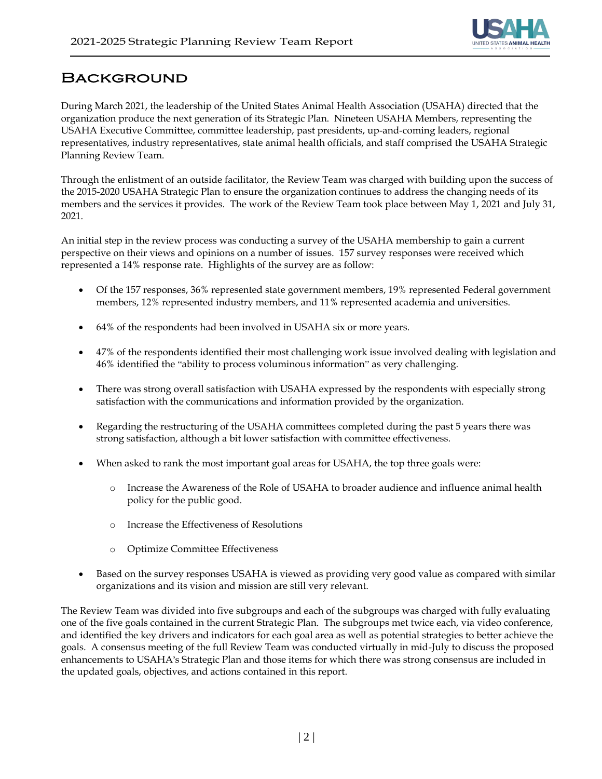

### Background i.

During March 2021, the leadership of the United States Animal Health Association (USAHA) directed that the organization produce the next generation of its Strategic Plan. Nineteen USAHA Members, representing the USAHA Executive Committee, committee leadership, past presidents, up-and-coming leaders, regional representatives, industry representatives, state animal health officials, and staff comprised the USAHA Strategic Planning Review Team.

Through the enlistment of an outside facilitator, the Review Team was charged with building upon the success of the 2015-2020 USAHA Strategic Plan to ensure the organization continues to address the changing needs of its members and the services it provides. The work of the Review Team took place between May 1, 2021 and July 31, 2021.

An initial step in the review process was conducting a survey of the USAHA membership to gain a current perspective on their views and opinions on a number of issues. 157 survey responses were received which represented a 14% response rate. Highlights of the survey are as follow:

- Of the 157 responses, 36% represented state government members, 19% represented Federal government members, 12% represented industry members, and 11% represented academia and universities.
- 64% of the respondents had been involved in USAHA six or more years.
- 47% of the respondents identified their most challenging work issue involved dealing with legislation and 46% identified the "ability to process voluminous information" as very challenging.
- There was strong overall satisfaction with USAHA expressed by the respondents with especially strong satisfaction with the communications and information provided by the organization.
- Regarding the restructuring of the USAHA committees completed during the past 5 years there was strong satisfaction, although a bit lower satisfaction with committee effectiveness.
- When asked to rank the most important goal areas for USAHA, the top three goals were:
	- o Increase the Awareness of the Role of USAHA to broader audience and influence animal health policy for the public good.
	- o Increase the Effectiveness of Resolutions
	- o Optimize Committee Effectiveness
- Based on the survey responses USAHA is viewed as providing very good value as compared with similar organizations and its vision and mission are still very relevant.

The Review Team was divided into five subgroups and each of the subgroups was charged with fully evaluating one of the five goals contained in the current Strategic Plan. The subgroups met twice each, via video conference, and identified the key drivers and indicators for each goal area as well as potential strategies to better achieve the goals. A consensus meeting of the full Review Team was conducted virtually in mid-July to discuss the proposed enhancements to USAHA's Strategic Plan and those items for which there was strong consensus are included in the updated goals, objectives, and actions contained in this report.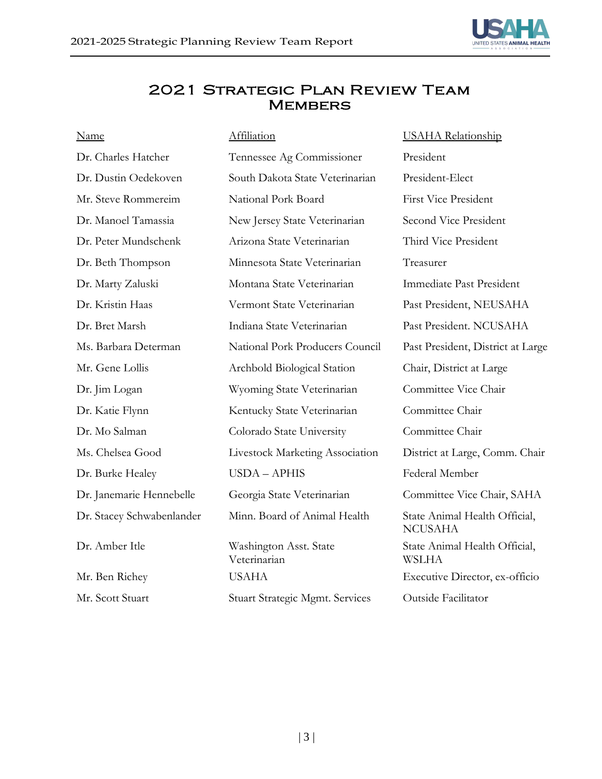

### 2021 Strategic Plan Review Team **MEMBERS**

| <b>Name</b>               | Affiliation                            | <b>USAHA</b> Relationship                       |
|---------------------------|----------------------------------------|-------------------------------------------------|
| Dr. Charles Hatcher       | Tennessee Ag Commissioner              | President                                       |
| Dr. Dustin Oedekoven      | South Dakota State Veterinarian        | President-Elect                                 |
| Mr. Steve Rommereim       | National Pork Board                    | <b>First Vice President</b>                     |
| Dr. Manoel Tamassia       | New Jersey State Veterinarian          | Second Vice President                           |
| Dr. Peter Mundschenk      | Arizona State Veterinarian             | Third Vice President                            |
| Dr. Beth Thompson         | Minnesota State Veterinarian           | Treasurer                                       |
| Dr. Marty Zaluski         | Montana State Veterinarian             | Immediate Past President                        |
| Dr. Kristin Haas          | Vermont State Veterinarian             | Past President, NEUSAHA                         |
| Dr. Bret Marsh            | Indiana State Veterinarian             | Past President. NCUSAHA                         |
| Ms. Barbara Determan      | National Pork Producers Council        | Past President, District at Large               |
| Mr. Gene Lollis           | Archbold Biological Station            | Chair, District at Large                        |
| Dr. Jim Logan             | Wyoming State Veterinarian             | Committee Vice Chair                            |
| Dr. Katie Flynn           | Kentucky State Veterinarian            | Committee Chair                                 |
| Dr. Mo Salman             | Colorado State University              | Committee Chair                                 |
| Ms. Chelsea Good          | Livestock Marketing Association        | District at Large, Comm. Chair                  |
| Dr. Burke Healey          | <b>USDA - APHIS</b>                    | Federal Member                                  |
| Dr. Janemarie Hennebelle  | Georgia State Veterinarian             | Committee Vice Chair, SAHA                      |
| Dr. Stacey Schwabenlander | Minn. Board of Animal Health           | State Animal Health Official,<br><b>NCUSAHA</b> |
| Dr. Amber Itle            | Washington Asst. State<br>Veterinarian | State Animal Health Official,<br><b>WSLHA</b>   |
| Mr. Ben Richey            | <b>USAHA</b>                           | Executive Director, ex-officio                  |
| Mr. Scott Stuart          | <b>Stuart Strategic Mgmt. Services</b> | Outside Facilitator                             |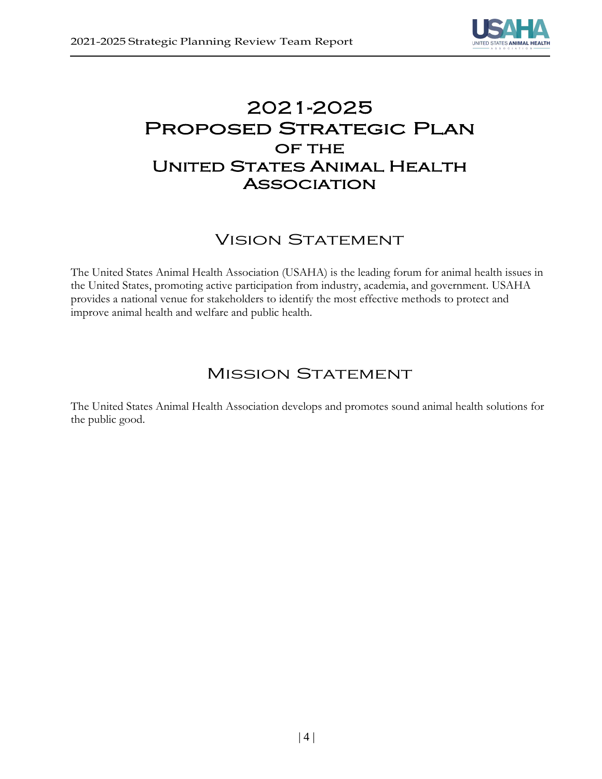

# 2021-2025 Proposed Strategic Plan OF THE UNITED STATES ANIMAL HEALTH **ASSOCIATION**

## **VISION STATEMENT**

The United States Animal Health Association (USAHA) is the leading forum for animal health issues in the United States, promoting active participation from industry, academia, and government. USAHA provides a national venue for stakeholders to identify the most effective methods to protect and improve animal health and welfare and public health.

### **MISSION STATEMENT**

The United States Animal Health Association develops and promotes sound animal health solutions for the public good.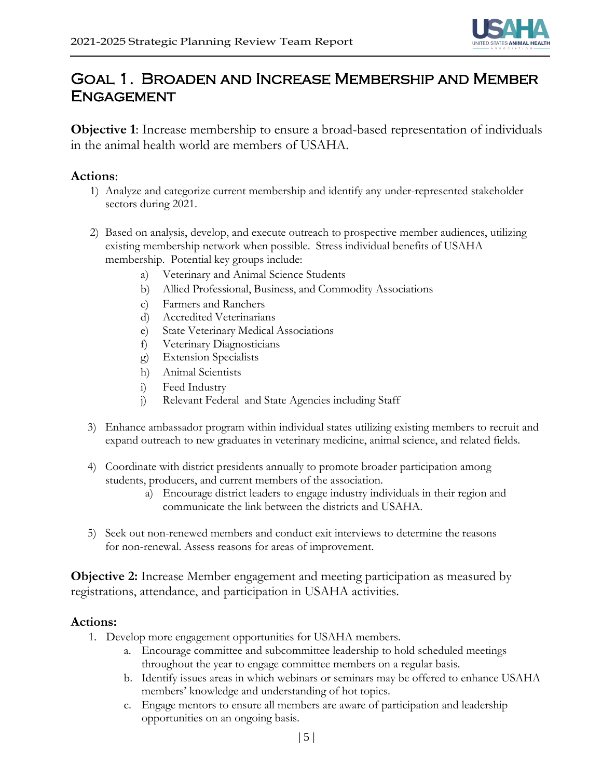

## Goal 1. Broaden and Increase Membership and Member **ENGAGEMENT**

**Objective 1**: Increase membership to ensure a broad-based representation of individuals in the animal health world are members of USAHA.

#### **Actions**:

- 1) Analyze and categorize current membership and identify any under-represented stakeholder sectors during 2021.
- 2) Based on analysis, develop, and execute outreach to prospective member audiences, utilizing existing membership network when possible. Stress individual benefits of USAHA membership. Potential key groups include:
	- a) Veterinary and Animal Science Students
	- b) Allied Professional, Business, and Commodity Associations
	- c) Farmers and Ranchers
	- d) Accredited Veterinarians
	- e) State Veterinary Medical Associations
	- f) Veterinary Diagnosticians
	- g) Extension Specialists
	- h) Animal Scientists
	- i) Feed Industry
	- j) Relevant Federal and State Agencies including Staff
- 3) Enhance ambassador program within individual states utilizing existing members to recruit and expand outreach to new graduates in veterinary medicine, animal science, and related fields.
- 4) Coordinate with district presidents annually to promote broader participation among students, producers, and current members of the association.
	- a) Encourage district leaders to engage industry individuals in their region and communicate the link between the districts and USAHA.
- 5) Seek out non-renewed members and conduct exit interviews to determine the reasons for non-renewal. Assess reasons for areas of improvement.

**Objective 2:** Increase Member engagement and meeting participation as measured by registrations, attendance, and participation in USAHA activities.

- 1. Develop more engagement opportunities for USAHA members.
	- a. Encourage committee and subcommittee leadership to hold scheduled meetings throughout the year to engage committee members on a regular basis.
	- b. Identify issues areas in which webinars or seminars may be offered to enhance USAHA members' knowledge and understanding of hot topics.
	- c. Engage mentors to ensure all members are aware of participation and leadership opportunities on an ongoing basis.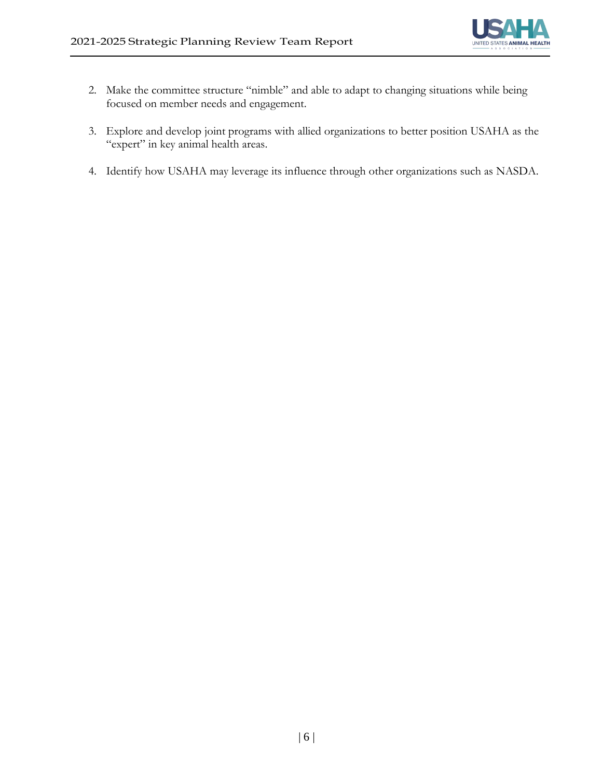

- 2. Make the committee structure "nimble" and able to adapt to changing situations while being focused on member needs and engagement.
- 3. Explore and develop joint programs with allied organizations to better position USAHA as the "expert" in key animal health areas.
- 4. Identify how USAHA may leverage its influence through other organizations such as NASDA.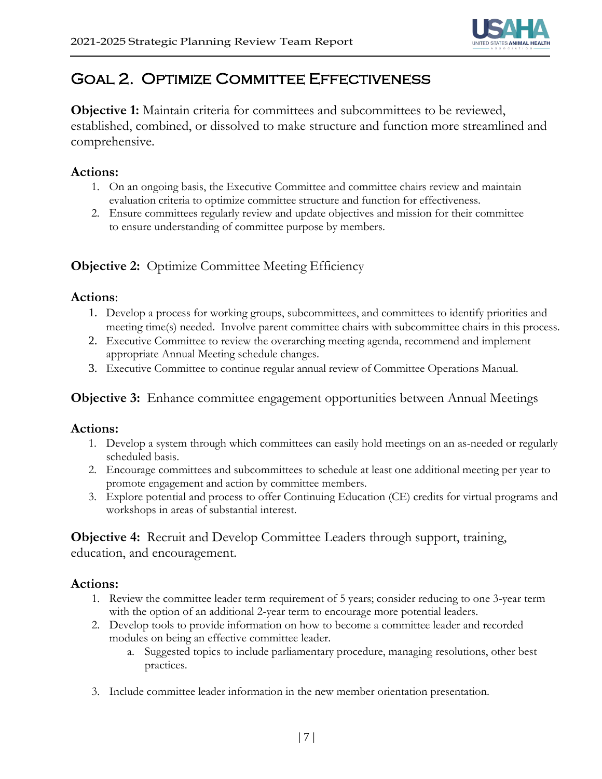

# Goal 2. Optimize Committee Effectiveness

**Objective 1:** Maintain criteria for committees and subcommittees to be reviewed, established, combined, or dissolved to make structure and function more streamlined and comprehensive.

#### **Actions:**

- 1. On an ongoing basis, the Executive Committee and committee chairs review and maintain evaluation criteria to optimize committee structure and function for effectiveness.
- 2. Ensure committees regularly review and update objectives and mission for their committee to ensure understanding of committee purpose by members.

### **Objective 2:** Optimize Committee Meeting Efficiency

#### **Actions**:

- 1. Develop a process for working groups, subcommittees, and committees to identify priorities and meeting time(s) needed. Involve parent committee chairs with subcommittee chairs in this process.
- 2. Executive Committee to review the overarching meeting agenda, recommend and implement appropriate Annual Meeting schedule changes.
- 3. Executive Committee to continue regular annual review of Committee Operations Manual.

#### **Objective 3:** Enhance committee engagement opportunities between Annual Meetings

#### **Actions:**

- 1. Develop a system through which committees can easily hold meetings on an as-needed or regularly scheduled basis.
- 2. Encourage committees and subcommittees to schedule at least one additional meeting per year to promote engagement and action by committee members.
- 3. Explore potential and process to offer Continuing Education (CE) credits for virtual programs and workshops in areas of substantial interest.

**Objective 4:** Recruit and Develop Committee Leaders through support, training, education, and encouragement.

- 1. Review the committee leader term requirement of 5 years; consider reducing to one 3-year term with the option of an additional 2-year term to encourage more potential leaders.
- 2. Develop tools to provide information on how to become a committee leader and recorded modules on being an effective committee leader.
	- a. Suggested topics to include parliamentary procedure, managing resolutions, other best practices.
- 3. Include committee leader information in the new member orientation presentation.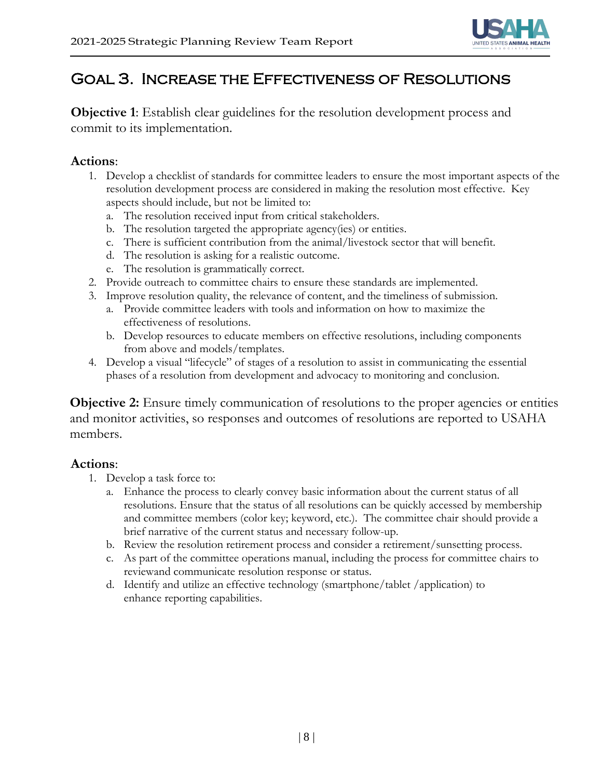

### Goal 3. Increase the Effectiveness of Resolutions

**Objective 1**: Establish clear guidelines for the resolution development process and commit to its implementation.

#### **Actions**:

- 1. Develop a checklist of standards for committee leaders to ensure the most important aspects of the resolution development process are considered in making the resolution most effective. Key aspects should include, but not be limited to:
	- a. The resolution received input from critical stakeholders.
	- b. The resolution targeted the appropriate agency(ies) or entities.
	- c. There is sufficient contribution from the animal/livestock sector that will benefit.
	- d. The resolution is asking for a realistic outcome.
	- e. The resolution is grammatically correct.
- 2. Provide outreach to committee chairs to ensure these standards are implemented.
- 3. Improve resolution quality, the relevance of content, and the timeliness of submission.
	- a. Provide committee leaders with tools and information on how to maximize the effectiveness of resolutions.
	- b. Develop resources to educate members on effective resolutions, including components from above and models/templates.
- 4. Develop a visual "lifecycle" of stages of a resolution to assist in communicating the essential phases of a resolution from development and advocacy to monitoring and conclusion.

**Objective 2:** Ensure timely communication of resolutions to the proper agencies or entities and monitor activities, so responses and outcomes of resolutions are reported to USAHA members.

- 1. Develop a task force to:
	- a. Enhance the process to clearly convey basic information about the current status of all resolutions. Ensure that the status of all resolutions can be quickly accessed by membership and committee members (color key; keyword, etc.). The committee chair should provide a brief narrative of the current status and necessary follow-up.
	- b. Review the resolution retirement process and consider a retirement/sunsetting process.
	- c. As part of the committee operations manual, including the process for committee chairs to reviewand communicate resolution response or status.
	- d. Identify and utilize an effective technology (smartphone/tablet /application) to enhance reporting capabilities.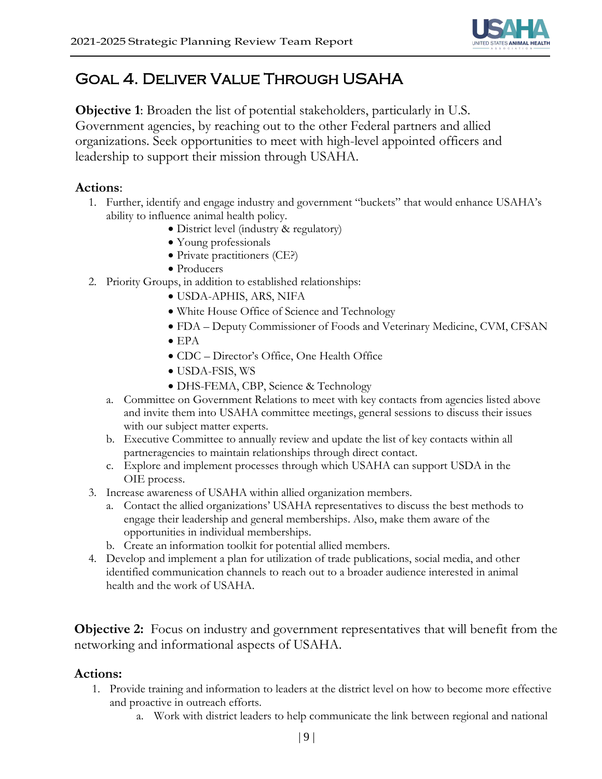

# Goal 4. Deliver Value Through USAHA

**Objective 1**: Broaden the list of potential stakeholders, particularly in U.S. Government agencies, by reaching out to the other Federal partners and allied organizations. Seek opportunities to meet with high-level appointed officers and leadership to support their mission through USAHA.

#### **Actions**:

- 1. Further, identify and engage industry and government "buckets" that would enhance USAHA's ability to influence animal health policy.
	- District level (industry & regulatory)
	- Young professionals
	- Private practitioners (CE?)
	- Producers
- 2. Priority Groups, in addition to established relationships:
	- USDA-APHIS, ARS, NIFA
	- White House Office of Science and Technology
	- FDA Deputy Commissioner of Foods and Veterinary Medicine, CVM, CFSAN
	- EPA
	- CDC Director's Office, One Health Office
	- USDA-FSIS, WS
	- DHS-FEMA, CBP, Science & Technology
	- a. Committee on Government Relations to meet with key contacts from agencies listed above and invite them into USAHA committee meetings, general sessions to discuss their issues with our subject matter experts.
	- b. Executive Committee to annually review and update the list of key contacts within all partneragencies to maintain relationships through direct contact.
	- c. Explore and implement processes through which USAHA can support USDA in the OIE process.
- 3. Increase awareness of USAHA within allied organization members.
	- a. Contact the allied organizations' USAHA representatives to discuss the best methods to engage their leadership and general memberships. Also, make them aware of the opportunities in individual memberships.
	- b. Create an information toolkit for potential allied members.
- 4. Develop and implement a plan for utilization of trade publications, social media, and other identified communication channels to reach out to a broader audience interested in animal health and the work of USAHA.

**Objective 2:** Focus on industry and government representatives that will benefit from the networking and informational aspects of USAHA.

- 1. Provide training and information to leaders at the district level on how to become more effective and proactive in outreach efforts.
	- a. Work with district leaders to help communicate the link between regional and national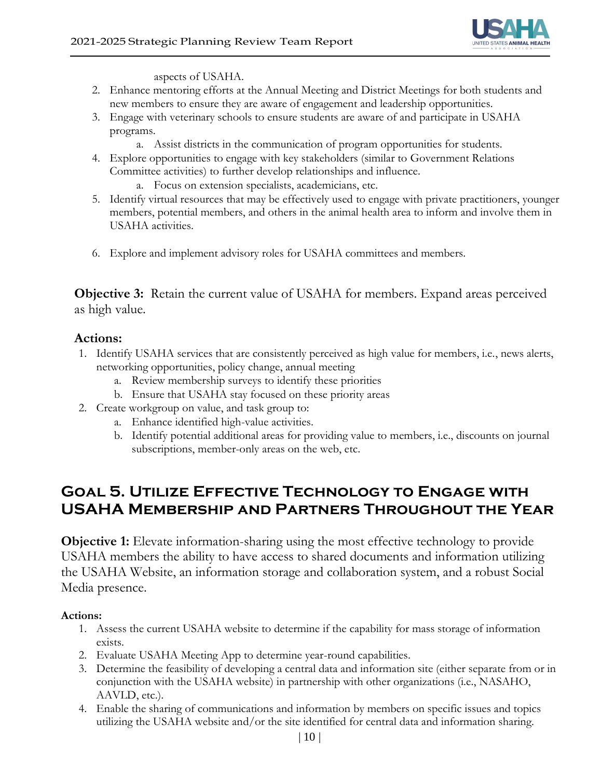

aspects of USAHA.

- 2. Enhance mentoring efforts at the Annual Meeting and District Meetings for both students and new members to ensure they are aware of engagement and leadership opportunities.
- 3. Engage with veterinary schools to ensure students are aware of and participate in USAHA programs.
	- a. Assist districts in the communication of program opportunities for students.
- 4. Explore opportunities to engage with key stakeholders (similar to Government Relations Committee activities) to further develop relationships and influence.
	- a. Focus on extension specialists, academicians, etc.
- 5. Identify virtual resources that may be effectively used to engage with private practitioners, younger members, potential members, and others in the animal health area to inform and involve them in USAHA activities.
- 6. Explore and implement advisory roles for USAHA committees and members.

**Objective 3:** Retain the current value of USAHA for members. Expand areas perceived as high value.

#### **Actions:**

- 1. Identify USAHA services that are consistently perceived as high value for members, i.e., news alerts, networking opportunities, policy change, annual meeting
	- a. Review membership surveys to identify these priorities
	- b. Ensure that USAHA stay focused on these priority areas
- 2. Create workgroup on value, and task group to:
	- a. Enhance identified high-value activities.
	- b. Identify potential additional areas for providing value to members, i.e., discounts on journal subscriptions, member-only areas on the web, etc.

### **Goal 5. Utilize Effective Technology to Engage with USAHA Membership and Partners Throughout the Year**

**Objective 1:** Elevate information-sharing using the most effective technology to provide USAHA members the ability to have access to shared documents and information utilizing the USAHA Website, an information storage and collaboration system, and a robust Social Media presence.

- 1. Assess the current USAHA website to determine if the capability for mass storage of information exists.
- 2. Evaluate USAHA Meeting App to determine year-round capabilities.
- 3. Determine the feasibility of developing a central data and information site (either separate from or in conjunction with the USAHA website) in partnership with other organizations (i.e., NASAHO, AAVLD, etc.).
- 4. Enable the sharing of communications and information by members on specific issues and topics utilizing the USAHA website and/or the site identified for central data and information sharing.